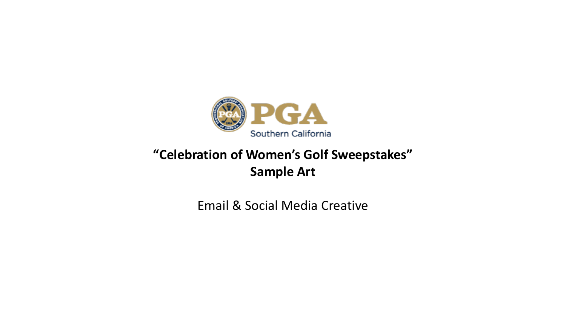

# **"Celebration of Women's Golf Sweepstakes" Sample Art**

Email & Social Media Creative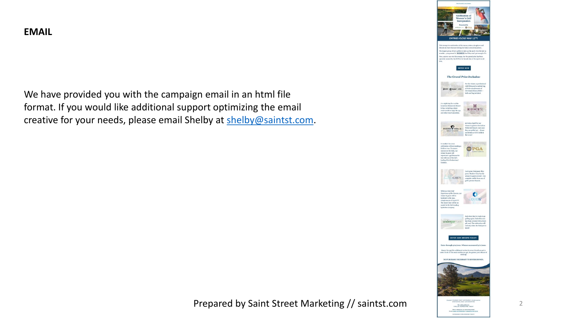### **EMAIL**

We have provided you with the campaign email in an html file format. If you would like additional support optimizing the email creative for your needs, please email Shelby at [shelby@saintst.com.](mailto:shelby@saintst.com)



Prepared by Saint Street Marketing // saintst.com

2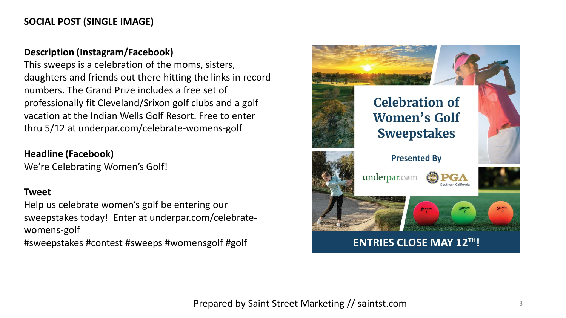## **SOCIAL POST (SINGLE IMAGE)**

#### **Description (Instagram/Facebook)**

This sweeps is a celebration of the moms, sisters, daughters and friends out there hitting the links in record numbers. The Grand Prize includes a free set of professionally fit Cleveland/Srixon golf clubs and a golf vacation at the Indian Wells Golf Resort. Free to enter thru 5/12 at underpar.com/celebrate-womens-golf

#### **Headline (Facebook)**

We're Celebrating Women's Golf!

#### **Tweet**

Help us celebrate women's golf be entering our sweepstakes today! Enter at underpar.com/celebratewomens-golf

#sweepstakes #contest #sweeps #womensgolf #golf

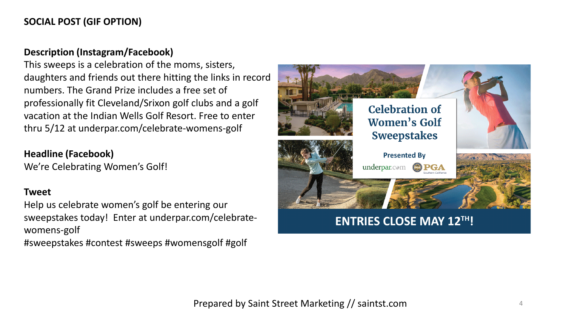## **SOCIAL POST (GIF OPTION)**

#### **Description (Instagram/Facebook)**

This sweeps is a celebration of the moms, sisters, daughters and friends out there hitting the links in record numbers. The Grand Prize includes a free set of professionally fit Cleveland/Srixon golf clubs and a golf vacation at the Indian Wells Golf Resort. Free to enter thru 5/12 at underpar.com/celebrate-womens-golf

#### **Headline (Facebook)**

We're Celebrating Women's Golf!

#### **Tweet**

Help us celebrate women's golf be entering our sweepstakes today! Enter at underpar.com/celebratewomens-golf

#sweepstakes #contest #sweeps #womensgolf #golf

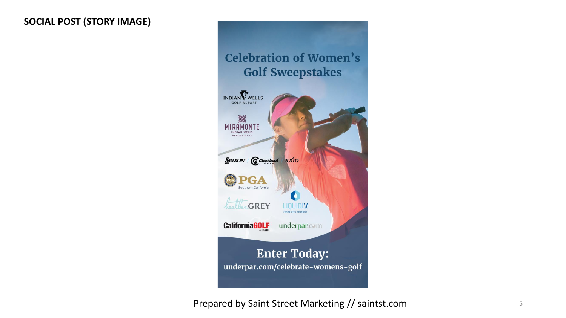## **SOCIAL POST (STORY IMAGE)**



Prepared by Saint Street Marketing // saintst.com 5